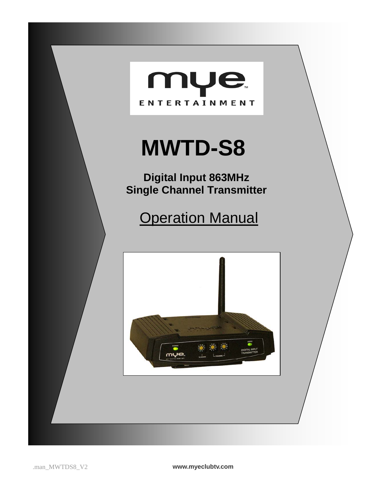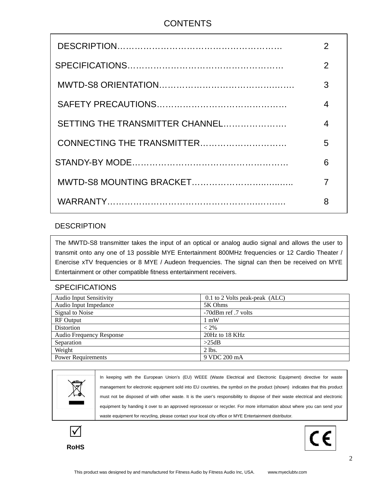## **CONTENTS**

|                                 | $\overline{2}$           |
|---------------------------------|--------------------------|
|                                 | $\overline{2}$           |
|                                 | 3                        |
|                                 | $\overline{\mathcal{A}}$ |
| SETTING THE TRANSMITTER CHANNEL | 4                        |
|                                 | 5                        |
|                                 | 6                        |
|                                 | 7                        |
|                                 | 8                        |

#### DESCRIPTION

 The MWTD-S8 transmitter takes the input of an optical or analog audio signal and allows the user to Enercise xTV frequencies or 8 MYE / Audeon frequencies. The signal can then be received on MYE Ï transmit onto any one of 13 possible MYE Entertainment 800MHz frequencies or 12 Cardio Theater / Entertainment or other compatible fitness entertainment receivers.

#### **SPECIFICATIONS**

| <b>Audio Input Sensitivity</b>  | $0.1$ to 2 Volts peak-peak (ALC) |
|---------------------------------|----------------------------------|
| Audio Input Impedance           | 5K Ohms                          |
| Signal to Noise                 | -70dBm ref. 7 volts              |
| <b>RF</b> Output                | $1 \text{ mW}$                   |
| Distortion                      | $< 2\%$                          |
| <b>Audio Frequency Response</b> | 20Hz to 18 KHz                   |
| Separation                      | >25dB                            |
| Weight                          | $2$ lbs.                         |
| <b>Power Requirements</b>       | 9 VDC 200 mA                     |



In keeping with the European Union's (EU) WEEE (Waste Electrical and Electronic Equipment) directive for waste management for electronic equipment sold into EU countries, the symbol on the product (shown) indicates that this product must not be disposed of with other waste. It is the user's responsibility to dispose of their waste electrical and electronic equipment by handing it over to an approved reprocessor or recycler. For more information about where you can send your waste equipment for recycling, please contact your local city office or MYE Entertainment distributor.



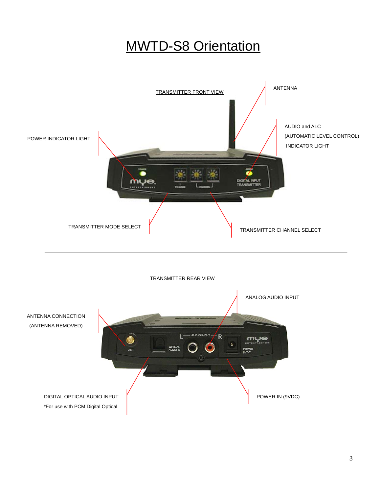# MWTD-S8 Orientation



TRANSMITTER REAR VIEW

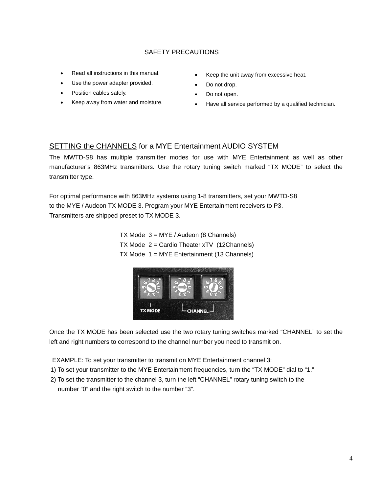#### SAFETY PRECAUTIONS

- Read all instructions in this manual.
- Use the power adapter provided.
- Position cables safely.
- Keep away from water and moisture.
- Keep the unit away from excessive heat.
- Do not drop.
- Do not open.
- Have all service performed by a qualified technician.

#### SETTING the CHANNELS for a MYE Entertainment AUDIO SYSTEM

The MWTD-S8 has multiple transmitter modes for use with MYE Entertainment as well as other manufacturer's 863MHz transmitters. Use the rotary tuning switch marked "TX MODE" to select the transmitter type.

For optimal performance with 863MHz systems using 1-8 transmitters, set your MWTD-S8 to the MYE / Audeon TX MODE 3. Program your MYE Entertainment receivers to P3. Transmitters are shipped preset to TX MODE 3.

> TX Mode 3 = MYE / Audeon (8 Channels) TX Mode 2 = Cardio Theater xTV (12Channels) TX Mode 1 = MYE Entertainment (13 Channels)



Once the TX MODE has been selected use the two rotary tuning switches marked "CHANNEL" to set the left and right numbers to correspond to the channel number you need to transmit on.

EXAMPLE: To set your transmitter to transmit on MYE Entertainment channel 3:

- 1) To set your transmitter to the MYE Entertainment frequencies, turn the "TX MODE" dial to "1."
- 2) To set the transmitter to the channel 3, turn the left "CHANNEL" rotary tuning switch to the number "0" and the right switch to the number "3".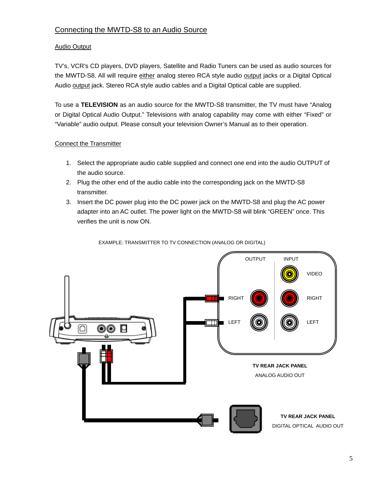#### Connecting the MWTD-S8 to an Audio Source

#### Audio Output

TV's, VCR's CD players, DVD players, Satellite and Radio Tuners can be used as audio sources for the MWTD-S8. All will require either analog stereo RCA style audio output jacks or a Digital Optical Audio output jack. Stereo RCA style audio cables and a Digital Optical cable are supplied.

To use a **TELEVISION** as an audio source for the MWTD-S8 transmitter, the TV must have "Analog or Digital Optical Audio Output." Televisions with analog capability may come with either "Fixed" or "Variable" audio output. Please consult your television Owner's Manual as to their operation.

#### Connect the Transmitter

- 1. Select the appropriate audio cable supplied and connect one end into the audio OUTPUT of the audio source.
- 2. Plug the other end of the audio cable into the corresponding jack on the MWTD-S8 transmitter.
- 3. Insert the DC power plug into the DC power jack on the MWTD-S8 and plug the AC power adapter into an AC outlet. The power light on the MWTD-S8 will blink "GREEN" once. This verifies the unit is now ON.

EXAMPLE: TRANSMITTER TO TV CONNECTION (ANALOG OR DIGITAL)

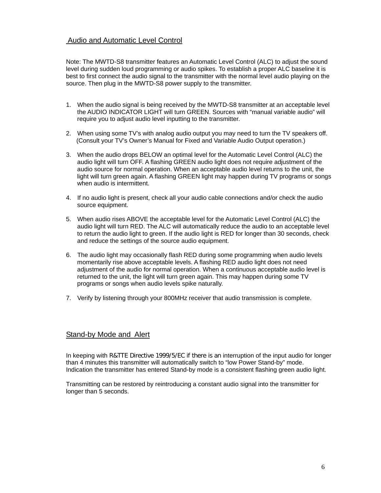#### Audio and Automatic Level Control

Note: The MWTD-S8 transmitter features an Automatic Level Control (ALC) to adjust the sound level during sudden loud programming or audio spikes. To establish a proper ALC baseline it is best to first connect the audio signal to the transmitter with the normal level audio playing on the source. Then plug in the MWTD-S8 power supply to the transmitter.

- 1. When the audio signal is being received by the MWTD-S8 transmitter at an acceptable level the AUDIO INDICATOR LIGHT will turn GREEN. Sources with "manual variable audio" will require you to adjust audio level inputting to the transmitter.
- 2. When using some TV's with analog audio output you may need to turn the TV speakers off. (Consult your TV's Owner's Manual for Fixed and Variable Audio Output operation.)
- 3. When the audio drops BELOW an optimal level for the Automatic Level Control (ALC) the audio light will turn OFF. A flashing GREEN audio light does not require adjustment of the audio source for normal operation. When an acceptable audio level returns to the unit, the light will turn green again. A flashing GREEN light may happen during TV programs or songs when audio is intermittent.
- 4. If no audio light is present, check all your audio cable connections and/or check the audio source equipment.
- 5. When audio rises ABOVE the acceptable level for the Automatic Level Control (ALC) the audio light will turn RED. The ALC will automatically reduce the audio to an acceptable level to return the audio light to green. If the audio light is RED for longer than 30 seconds, check and reduce the settings of the source audio equipment.
- 6. The audio light may occasionally flash RED during some programming when audio levels momentarily rise above acceptable levels. A flashing RED audio light does not need adjustment of the audio for normal operation. When a continuous acceptable audio level is returned to the unit, the light will turn green again. This may happen during some TV programs or songs when audio levels spike naturally.
- 7. Verify by listening through your 800MHz receiver that audio transmission is complete.

#### Stand-by Mode and Alert

In keeping with R&TTE Directive 1999/5/EC if there is an interruption of the input audio for longer than 4 minutes this transmitter will automatically switch to "low Power Stand-by" mode. Indication the transmitter has entered Stand-by mode is a consistent flashing green audio light.

Transmitting can be restored by reintroducing a constant audio signal into the transmitter for longer than 5 seconds.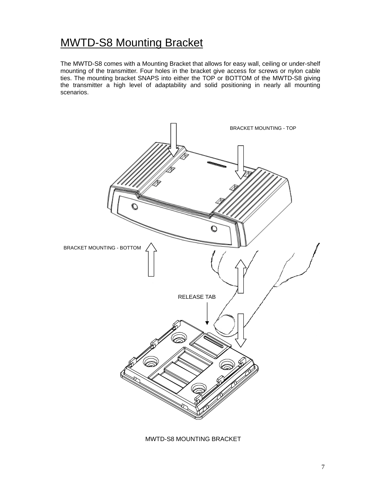# MWTD-S8 Mounting Bracket

The MWTD-S8 comes with a Mounting Bracket that allows for easy wall, ceiling or under-shelf mounting of the transmitter. Four holes in the bracket give access for screws or nylon cable ties. The mounting bracket SNAPS into either the TOP or BOTTOM of the MWTD-S8 giving the transmitter a high level of adaptability and solid positioning in nearly all mounting scenarios.



MWTD-S8 MOUNTING BRACKET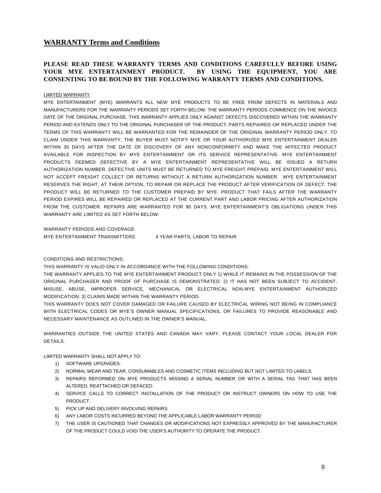#### **WARRANTY Terms and Conditions**

#### **PLEASE READ THESE WARRANTY TERMS AND CONDITIONS CAREFULLY BEFORE USING YOUR MYE ENTERTAINMENT PRODUCT. BY USING THE EQUIPMENT, YOU ARE CONSENTING TO BE BOUND BY THE FOLLOWING WARRANTY TERMS AND CONDITIONS.**

#### LIMITED WARRANTY

MYE ENTERTAINMENT (MYE) WARRANTS ALL NEW MYE PRODUCTS TO BE FREE FROM DEFECTS IN MATERIALS AND MANUFACTURERS FOR THE WARRANTY PERIODS SET FORTH BELOW. THE WARRANTY PERIODS COMMENCE ON THE INVOICE DATE OF THE ORIGINAL PURCHASE. THIS WARRANTY APPLIES ONLY AGAINST DEFECTS DISCOVERED WITHIN THE WARRANTY PERIOD AND EXTENDS ONLY TO THE ORIGINAL PURCHASER OF THE PRODUCT. PARTS REPAIRED OR REPLACED UNDER THE TERMS OF THIS WARRANTY WILL BE WARRANTED FOR THE REMAINDER OF THE ORIGINAL WARRANTY PERIOD ONLY. TO CLAIM UNDER THIS WARRANTY, THE BUYER MUST NOTIFY MYE OR YOUR AUTHORIZED MYE ENTERTAINMENT DEALER WITHIN 30 DAYS AFTER THE DATE OF DISCOVERY OF ANY NONCONFORMITY AND MAKE THE AFFECTED PRODUCT AVAILABLE FOR INSPECTION BY MYE ENTERTAINMENT OR ITS SERVICE REPRESENTATIVE. MYE ENTERTAINMENT PRODUCTS DEEMED DEFECTIVE BY A MYE ENTERTAINMENT REPRESENTATIVE WILL BE ISSUED A RETURN AUTHORIZATION NUMBER. DEFECTIVE UNITS MUST BE RETURNED TO MYE FREIGHT PREPAID. MYE ENTERTAINMENT WILL NOT ACCEPT FREIGHT COLLECT OR RETURNS WITHOUT A RETURN AUTHORIZATION NUMBER. MYE ENTERTAINMENT RESERVES THE RIGHT, AT THEIR OPTION, TO REPAIR OR REPLACE THE PRODUCT AFTER VERIFICATION OF DEFECT. THE PRODUCT WILL BE RETURNED TO THE CUSTOMER PREPAID BY MYE. PRODUCT THAT FAILS AFTER THE WARRANTY PERIOD EXPIRES WILL BE REPAIRED OR REPLACED AT THE CURRENT PART AND LABOR PRICING AFTER AUTHORIZATION FROM THE CUSTOMER. REPAIRS ARE WARRANTED FOR 90 DAYS. MYE ENTERTAINMENT'S OBLIGATIONS UNDER THIS WARRANTY ARE LIMITED AS SET FORTH BELOW:

WARRANTY PERIODS AND COVERAGE:

MYE ENTERTAINMENT TRANSMITTERS 4 YEAR PARTS, LABOR TO REPAIR

#### CONDITIONS AND RESTRICTIONS:

THIS WARRANTY IS VALID ONLY IN ACCORDANCE WITH THE FOLLOWING CONDITIONS:

THE WARRANTY APPLIES TO THE MYE ENTERTAINMENT PRODUCT ONLY 1) WHILE IT REMAINS IN THE POSSESSION OF THE ORIGINAL PURCHASER AND PROOF OF PURCHASE IS DEMONSTRATED. 2) IT HAS NOT BEEN SUBJECT TO ACCIDENT, MISUSE, ABUSE, IMPROPER SERVICE, MECHANICAL OR ELECTRICAL NON-MYE ENTERTAINMENT AUTHORIZED MODIFICATION. 3) CLAIMS MADE WITHIN THE WARRANTY PERIOD.

THIS WARRANTY DOES NOT COVER DAMAGED OR FAILURE CAUSED BY ELECTRICAL WIRING NOT BEING IN COMPLIANCE WITH ELECTRICAL CODES OR MYE'S OWNER MANUAL SPECIFICATIONS, OR FAILURES TO PROVIDE REASONABLE AND NECESSARY MAINTENANCE AS OUTLINED IN THE OWNER'S MANUAL.

WARRANTIES OUTSIDE THE UNITED STATES AND CANADA MAY VARY. PLEASE CONTACT YOUR LOCAL DEALER FOR DETAILS.

LIMITED WARRANTY SHALL NOT APPLY TO:

- 1) SOFTWARE UPGRADES.
- 2) NORMAL WEAR AND TEAR, CONSUMABLES AND COSMETIC ITEMS INCLUDING BUT NOT LIMITED TO LABELS.
- 3) REPAIRS REFORMED ON MYE PRODUCTS MISSING A SERIAL NUMBER OR WITH A SERIAL TAG THAT HAS BEEN ALTERED, REATTACHED OR DEFACED.
- 4) SERVICE CALLS TO CORRECT INSTALLATION OF THE PRODUCT OR INSTRUCT OWNERS ON HOW TO USE THE PRODUCT.
- 5) PICK UP AND DELIVERY INVOLVING REPAIRS
- 6) ANY LABOR COSTS INCURRED BEYOND THE APPLICABLE LABOR WARRANTY PERIOD
- 7) THE USER IS CAUTIONED THAT CHANGES OR MODIFICATIONS NOT EXPRESSLY APPROVED BY THE MANUFACTURER OF THE PRODUCT COULD VOID THE USER'S AUTHORITY TO OPERATE THE PRODUCT.